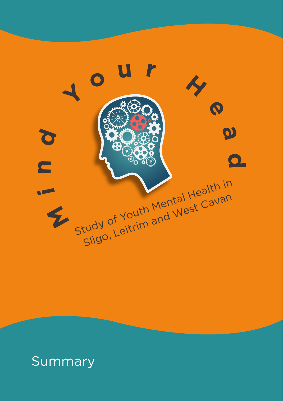

### Summary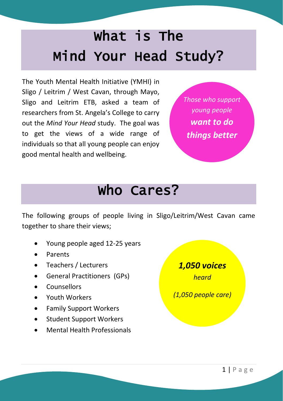# What is The Mind Your Head Study?

The Youth Mental Health Initiative (YMHI) in Sligo / Leitrim / West Cavan, through Mayo, Sligo and Leitrim ETB, asked a team of researchers from St. Angela's College to carry out the *Mind Your Head* study. The goal was to get the views of a wide range of individuals so that all young people can enjoy good mental health and wellbeing.

*Those who support young people want to do things better*

### Who Cares?

The following groups of people living in Sligo/Leitrim/West Cavan came together to share their views;

- Young people aged 12-25 years
- Parents
- Teachers / Lecturers
- General Practitioners (GPs)
- **Counsellors**
- Youth Workers
- Family Support Workers
- Student Support Workers
- Mental Health Professionals

*1,050 voices heard (1,050 people care)*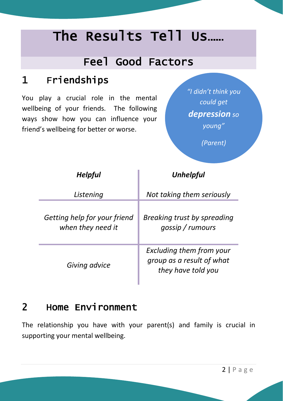## The Results Tell Us……

#### Feel Good Factors

#### 1 Friendships

You play a crucial role in the mental wellbeing of your friends. The following ways show how you can influence your friend's wellbeing for better or worse.

*"I didn't think you could get depression so young"* 

*(Parent)*

| <b>Helpful</b>                                    | <b>Unhelpful</b>                                                            |  |  |
|---------------------------------------------------|-----------------------------------------------------------------------------|--|--|
| Listening                                         | Not taking them seriously                                                   |  |  |
| Getting help for your friend<br>when they need it | Breaking trust by spreading<br>gossip / rumours                             |  |  |
| Giving advice                                     | Excluding them from your<br>group as a result of what<br>they have told you |  |  |

#### 2 Home Environment

The relationship you have with your parent(s) and family is crucial in supporting your mental wellbeing.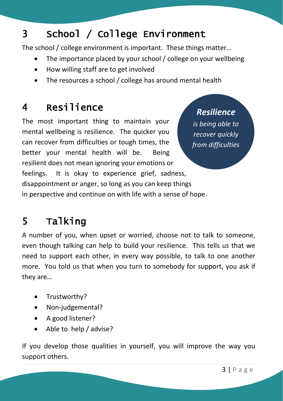### 3 School / College Environment

The school / college environment is important. These things matter…

- The importance placed by your school / college on your wellbeing
- How willing staff are to get involved
- The resources a school / college has around mental health

### 4 Resilience

The most important thing to maintain your mental wellbeing is resilience. The quicker you can recover from difficulties or tough times, the better your mental health will be. Being resilient does not mean ignoring your emotions or feelings. It is okay to experience grief, sadness, disappointment or anger, so long as you can keep things in perspective and continue on with life with a sense of hope.

#### *Resilience*

*is being able to recover quickly from difficulties*

### 5 Talking

A number of you, when upset or worried, choose not to talk to someone, even though talking can help to build your resilience. This tells us that we need to support each other, in every way possible, to talk to one another more. You told us that when you turn to somebody for support, you ask if they are…

- Trustworthy?
- Non-judgemental?
- A good listener?
- Able to help / advise?

If you develop those qualities in yourself, you will improve the way you support others.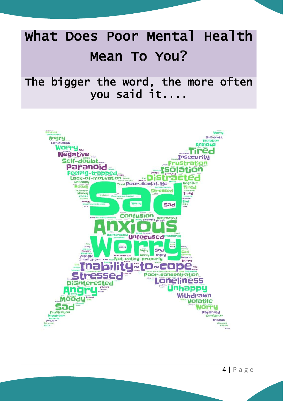# What Does Poor Mental Health Mean To You?

#### The bigger the word, the more often you said it....



 $4 | P \text{age}$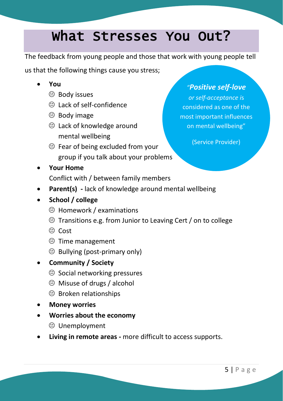### What Stresses You Out?

The feedback from young people and those that work with young people tell

us that the following things cause you stress;

- **You**
	- $\Theta$  Body issues
	- Lack of self-confidence
	- $\oplus$  Body image
	- Lack of knowledge around mental wellbeing
	- $\Theta$  Fear of being excluded from your group if you talk about your problems

#### *"Positive self-love*

*or self-acceptance i*s considered as one of the most important influences on mental wellbeing"

(Service Provider)

**Your Home**

Conflict with / between family members

- **Parent(s) -** lack of knowledge around mental wellbeing
- **School / college**
	- Homework / examinations
	- $\Theta$  Transitions e.g. from Junior to Leaving Cert / on to college
	- ⊕ Cost
	- Time management
	- $\Theta$  Bullying (post-primary only)
- **Community / Society**
	- $\Theta$  Social networking pressures
	- Misuse of drugs / alcohol
	- $\Theta$  Broken relationships
- **Money worries**
- **Worries about the economy**
	- Unemployment
- **Living in remote areas -** more difficult to access supports.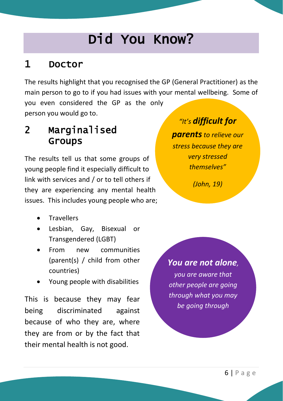# Did You Know?

#### 1 Doctor

The results highlight that you recognised the GP (General Practitioner) as the main person to go to if you had issues with your mental wellbeing. Some of you even considered the GP as the only person you would go to.

#### 2 Marginalised Groups

The results tell us that some groups of young people find it especially difficult to link with services and / or to tell others if they are experiencing any mental health issues. This includes young people who are;

- **Travellers**
- Lesbian, Gay, Bisexual or Transgendered (LGBT)
- From new communities (parent(s) / child from other countries)
- Young people with disabilities

This is because they may fear being discriminated against because of who they are, where they are from or by the fact that their mental health is not good.

*"It's difficult for* 

*parentsto relieve our stress because they are very stressed themselves"*

*(John, 19)*

*You are not alone, you are aware that other people are going through what you may be going through*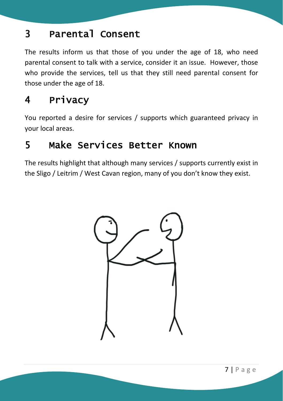#### 3 Parental Consent

The results inform us that those of you under the age of 18, who need parental consent to talk with a service, consider it an issue. However, those who provide the services, tell us that they still need parental consent for those under the age of 18.

#### 4 Privacy

You reported a desire for services / supports which guaranteed privacy in your local areas.

#### 5 Make Services Better Known

The results highlight that although many services / supports currently exist in the Sligo / Leitrim / West Cavan region, many of you don't know they exist.

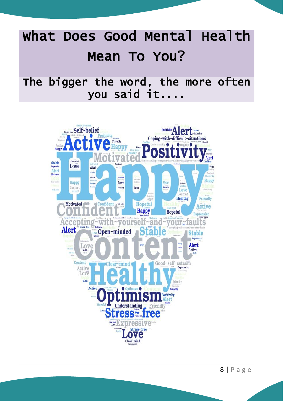# What Does Good Mental Health Mean To You?

### The bigger the word, the more often you said it....



 $8|Page$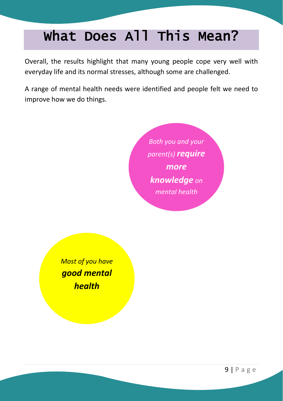# What Does All This Mean?

Overall, the results highlight that many young people cope very well with everyday life and its normal stresses, although some are challenged.

A range of mental health needs were identified and people felt we need to improve how we do things.



*Most of you have good mental health*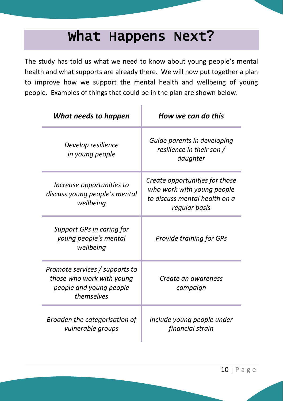### What Happens Next?

The study has told us what we need to know about young people's mental health and what supports are already there. We will now put together a plan to improve how we support the mental health and wellbeing of young people. Examples of things that could be in the plan are shown below.

| What needs to happen                                                                                 | How we can do this                                                                                             |  |  |
|------------------------------------------------------------------------------------------------------|----------------------------------------------------------------------------------------------------------------|--|--|
| Develop resilience<br>in young people                                                                | Guide parents in developing<br>resilience in their son /<br>daughter                                           |  |  |
| Increase opportunities to<br>discuss young people's mental<br>wellbeing                              | Create opportunities for those<br>who work with young people<br>to discuss mental health on a<br>regular basis |  |  |
| Support GPs in caring for<br>young people's mental<br>wellbeing                                      | Provide training for GPs                                                                                       |  |  |
| Promote services / supports to<br>those who work with young<br>people and young people<br>themselves | Create an awareness<br>campaign                                                                                |  |  |
| Broaden the categorisation of<br>vulnerable groups                                                   | Include young people under<br>financial strain                                                                 |  |  |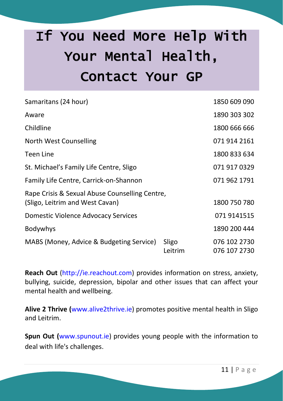# If You Need More Help With Your Mental Health, Contact Your GP

| Samaritans (24 hour)                           |                  | 1850 609 090                 |
|------------------------------------------------|------------------|------------------------------|
| Aware                                          |                  | 1890 303 302                 |
| Childline                                      |                  | 1800 666 666                 |
| North West Counselling                         |                  | 071 914 2161                 |
| <b>Teen Line</b>                               |                  | 1800 833 634                 |
| St. Michael's Family Life Centre, Sligo        |                  | 071 917 0329                 |
| Family Life Centre, Carrick-on-Shannon         |                  | 071 962 1791                 |
| Rape Crisis & Sexual Abuse Counselling Centre, |                  |                              |
| (Sligo, Leitrim and West Cavan)                |                  | 1800 750 780                 |
| Domestic Violence Advocacy Services            |                  | 071 9141515                  |
| <b>Bodywhys</b>                                |                  | 1890 200 444                 |
| MABS (Money, Advice & Budgeting Service)       | Sligo<br>Leitrim | 076 102 2730<br>076 107 2730 |

**Reach Out** (http://ie.reachout.com) provides information on stress, anxiety, bullying, suicide, depression, bipolar and other issues that can affect your mental health and wellbeing.

**Alive 2 Thrive (**www.alive2thrive.ie) promotes positive mental health in Sligo and Leitrim.

**Spun Out (**www.spunout.ie) provides young people with the information to deal with life's challenges.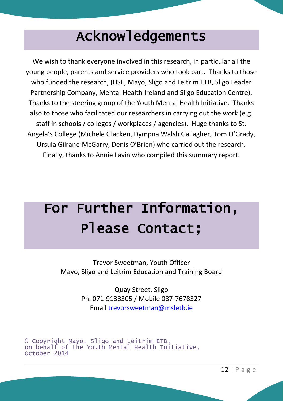## Acknowledgements

We wish to thank everyone involved in this research, in particular all the young people, parents and service providers who took part. Thanks to those who funded the research, (HSE, Mayo, Sligo and Leitrim ETB, Sligo Leader Partnership Company, Mental Health Ireland and Sligo Education Centre). Thanks to the steering group of the Youth Mental Health Initiative. Thanks also to those who facilitated our researchers in carrying out the work (e.g. staff in schools / colleges / workplaces / agencies). Huge thanks to St. Angela's College (Michele Glacken, Dympna Walsh Gallagher, Tom O'Grady, Ursula Gilrane-McGarry, Denis O'Brien) who carried out the research. Finally, thanks to Annie Lavin who compiled this summary report.

# For Further Information, Please Contact;

Trevor Sweetman, Youth Officer Mayo, Sligo and Leitrim Education and Training Board

> Quay Street, Sligo Ph. 071-9138305 / Mobile 087-7678327 Email trevorsweetman@msletb.ie

```
© Copyright Mayo, Sligo and Leitrim ETB,
on behalf of the Youth Mental Health Initiative,
October 2014
```